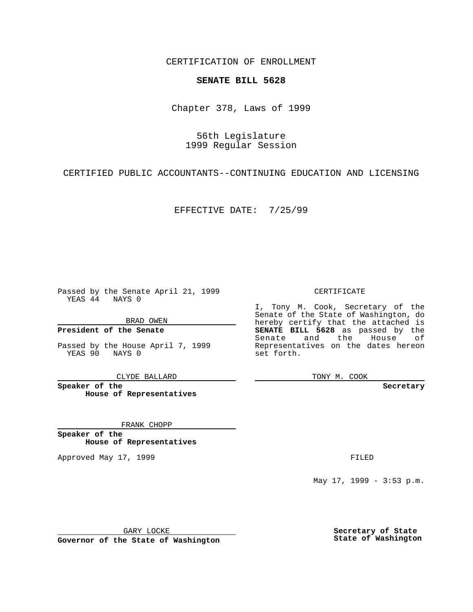CERTIFICATION OF ENROLLMENT

## **SENATE BILL 5628**

Chapter 378, Laws of 1999

56th Legislature 1999 Regular Session

CERTIFIED PUBLIC ACCOUNTANTS--CONTINUING EDUCATION AND LICENSING

EFFECTIVE DATE: 7/25/99

Passed by the Senate April 21, 1999 YEAS 44 NAYS 0

BRAD OWEN

**President of the Senate**

Passed by the House April 7, 1999 YEAS 90 NAYS 0

CLYDE BALLARD

**Speaker of the House of Representatives**

FRANK CHOPP

**Speaker of the House of Representatives**

Approved May 17, 1999 **FILED** 

CERTIFICATE

I, Tony M. Cook, Secretary of the Senate of the State of Washington, do hereby certify that the attached is **SENATE BILL 5628** as passed by the Senate and the House of Representatives on the dates hereon set forth.

TONY M. COOK

**Secretary**

May 17, 1999 - 3:53 p.m.

GARY LOCKE

**Governor of the State of Washington**

**Secretary of State State of Washington**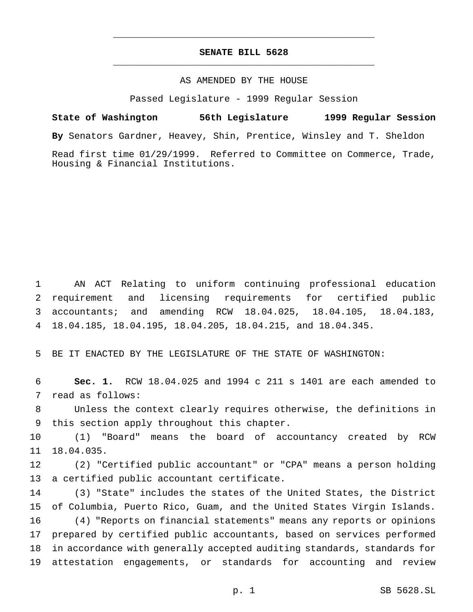## **SENATE BILL 5628** \_\_\_\_\_\_\_\_\_\_\_\_\_\_\_\_\_\_\_\_\_\_\_\_\_\_\_\_\_\_\_\_\_\_\_\_\_\_\_\_\_\_\_\_\_\_\_

\_\_\_\_\_\_\_\_\_\_\_\_\_\_\_\_\_\_\_\_\_\_\_\_\_\_\_\_\_\_\_\_\_\_\_\_\_\_\_\_\_\_\_\_\_\_\_

## AS AMENDED BY THE HOUSE

Passed Legislature - 1999 Regular Session

**State of Washington 56th Legislature 1999 Regular Session By** Senators Gardner, Heavey, Shin, Prentice, Winsley and T. Sheldon Read first time 01/29/1999. Referred to Committee on Commerce, Trade, Housing & Financial Institutions.

 AN ACT Relating to uniform continuing professional education requirement and licensing requirements for certified public accountants; and amending RCW 18.04.025, 18.04.105, 18.04.183, 18.04.185, 18.04.195, 18.04.205, 18.04.215, and 18.04.345.

BE IT ENACTED BY THE LEGISLATURE OF THE STATE OF WASHINGTON:

 **Sec. 1.** RCW 18.04.025 and 1994 c 211 s 1401 are each amended to read as follows:

 Unless the context clearly requires otherwise, the definitions in this section apply throughout this chapter.

 (1) "Board" means the board of accountancy created by RCW 18.04.035.

 (2) "Certified public accountant" or "CPA" means a person holding a certified public accountant certificate.

 (3) "State" includes the states of the United States, the District of Columbia, Puerto Rico, Guam, and the United States Virgin Islands. (4) "Reports on financial statements" means any reports or opinions prepared by certified public accountants, based on services performed in accordance with generally accepted auditing standards, standards for attestation engagements, or standards for accounting and review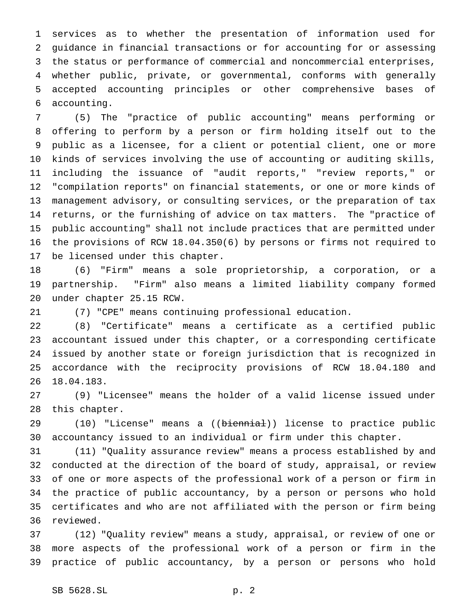services as to whether the presentation of information used for guidance in financial transactions or for accounting for or assessing the status or performance of commercial and noncommercial enterprises, whether public, private, or governmental, conforms with generally accepted accounting principles or other comprehensive bases of accounting.

 (5) The "practice of public accounting" means performing or offering to perform by a person or firm holding itself out to the public as a licensee, for a client or potential client, one or more kinds of services involving the use of accounting or auditing skills, including the issuance of "audit reports," "review reports," or "compilation reports" on financial statements, or one or more kinds of management advisory, or consulting services, or the preparation of tax returns, or the furnishing of advice on tax matters. The "practice of public accounting" shall not include practices that are permitted under the provisions of RCW 18.04.350(6) by persons or firms not required to be licensed under this chapter.

 (6) "Firm" means a sole proprietorship, a corporation, or a partnership. "Firm" also means a limited liability company formed under chapter 25.15 RCW.

(7) "CPE" means continuing professional education.

 (8) "Certificate" means a certificate as a certified public accountant issued under this chapter, or a corresponding certificate issued by another state or foreign jurisdiction that is recognized in accordance with the reciprocity provisions of RCW 18.04.180 and 18.04.183.

 (9) "Licensee" means the holder of a valid license issued under this chapter.

29 (10) "License" means a ((biennial)) license to practice public accountancy issued to an individual or firm under this chapter.

 (11) "Quality assurance review" means a process established by and conducted at the direction of the board of study, appraisal, or review of one or more aspects of the professional work of a person or firm in the practice of public accountancy, by a person or persons who hold certificates and who are not affiliated with the person or firm being reviewed.

 (12) "Quality review" means a study, appraisal, or review of one or more aspects of the professional work of a person or firm in the practice of public accountancy, by a person or persons who hold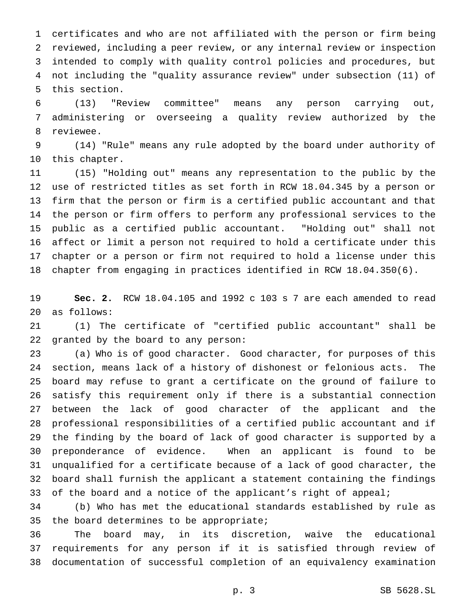certificates and who are not affiliated with the person or firm being reviewed, including a peer review, or any internal review or inspection intended to comply with quality control policies and procedures, but not including the "quality assurance review" under subsection (11) of this section.

 (13) "Review committee" means any person carrying out, administering or overseeing a quality review authorized by the reviewee.

 (14) "Rule" means any rule adopted by the board under authority of this chapter.

 (15) "Holding out" means any representation to the public by the use of restricted titles as set forth in RCW 18.04.345 by a person or firm that the person or firm is a certified public accountant and that the person or firm offers to perform any professional services to the public as a certified public accountant. "Holding out" shall not affect or limit a person not required to hold a certificate under this chapter or a person or firm not required to hold a license under this chapter from engaging in practices identified in RCW 18.04.350(6).

 **Sec. 2.** RCW 18.04.105 and 1992 c 103 s 7 are each amended to read as follows:

 (1) The certificate of "certified public accountant" shall be granted by the board to any person:

 (a) Who is of good character. Good character, for purposes of this section, means lack of a history of dishonest or felonious acts. The board may refuse to grant a certificate on the ground of failure to satisfy this requirement only if there is a substantial connection between the lack of good character of the applicant and the professional responsibilities of a certified public accountant and if the finding by the board of lack of good character is supported by a preponderance of evidence. When an applicant is found to be unqualified for a certificate because of a lack of good character, the board shall furnish the applicant a statement containing the findings 33 of the board and a notice of the applicant's right of appeal;

 (b) Who has met the educational standards established by rule as the board determines to be appropriate;

 The board may, in its discretion, waive the educational requirements for any person if it is satisfied through review of documentation of successful completion of an equivalency examination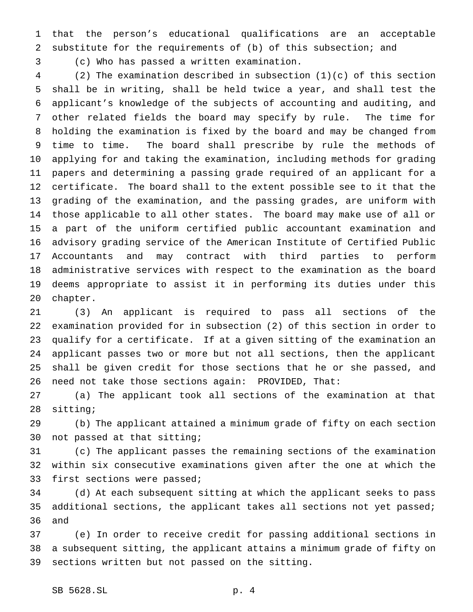that the person's educational qualifications are an acceptable substitute for the requirements of (b) of this subsection; and

(c) Who has passed a written examination.

 (2) The examination described in subsection (1)(c) of this section shall be in writing, shall be held twice a year, and shall test the applicant's knowledge of the subjects of accounting and auditing, and other related fields the board may specify by rule. The time for holding the examination is fixed by the board and may be changed from time to time. The board shall prescribe by rule the methods of applying for and taking the examination, including methods for grading papers and determining a passing grade required of an applicant for a certificate. The board shall to the extent possible see to it that the grading of the examination, and the passing grades, are uniform with those applicable to all other states. The board may make use of all or a part of the uniform certified public accountant examination and advisory grading service of the American Institute of Certified Public Accountants and may contract with third parties to perform administrative services with respect to the examination as the board deems appropriate to assist it in performing its duties under this chapter.

 (3) An applicant is required to pass all sections of the examination provided for in subsection (2) of this section in order to qualify for a certificate. If at a given sitting of the examination an applicant passes two or more but not all sections, then the applicant shall be given credit for those sections that he or she passed, and need not take those sections again: PROVIDED, That:

 (a) The applicant took all sections of the examination at that sitting;

 (b) The applicant attained a minimum grade of fifty on each section not passed at that sitting;

 (c) The applicant passes the remaining sections of the examination within six consecutive examinations given after the one at which the first sections were passed;

 (d) At each subsequent sitting at which the applicant seeks to pass additional sections, the applicant takes all sections not yet passed; and

 (e) In order to receive credit for passing additional sections in a subsequent sitting, the applicant attains a minimum grade of fifty on sections written but not passed on the sitting.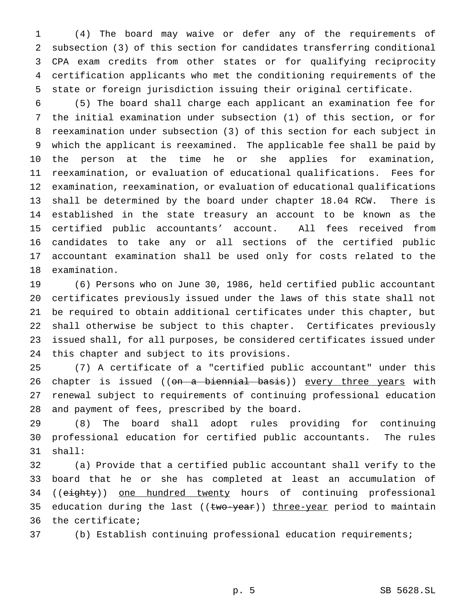(4) The board may waive or defer any of the requirements of subsection (3) of this section for candidates transferring conditional CPA exam credits from other states or for qualifying reciprocity certification applicants who met the conditioning requirements of the state or foreign jurisdiction issuing their original certificate.

 (5) The board shall charge each applicant an examination fee for the initial examination under subsection (1) of this section, or for reexamination under subsection (3) of this section for each subject in which the applicant is reexamined. The applicable fee shall be paid by the person at the time he or she applies for examination, reexamination, or evaluation of educational qualifications. Fees for examination, reexamination, or evaluation of educational qualifications shall be determined by the board under chapter 18.04 RCW. There is established in the state treasury an account to be known as the certified public accountants' account. All fees received from candidates to take any or all sections of the certified public accountant examination shall be used only for costs related to the examination.

 (6) Persons who on June 30, 1986, held certified public accountant certificates previously issued under the laws of this state shall not be required to obtain additional certificates under this chapter, but shall otherwise be subject to this chapter. Certificates previously issued shall, for all purposes, be considered certificates issued under this chapter and subject to its provisions.

 (7) A certificate of a "certified public accountant" under this 26 chapter is issued ((on a biennial basis)) every three years with renewal subject to requirements of continuing professional education and payment of fees, prescribed by the board.

 (8) The board shall adopt rules providing for continuing professional education for certified public accountants. The rules shall:

 (a) Provide that a certified public accountant shall verify to the board that he or she has completed at least an accumulation of 34 ((eighty)) one hundred twenty hours of continuing professional 35 education during the last ((two-year)) three-year period to maintain the certificate;

(b) Establish continuing professional education requirements;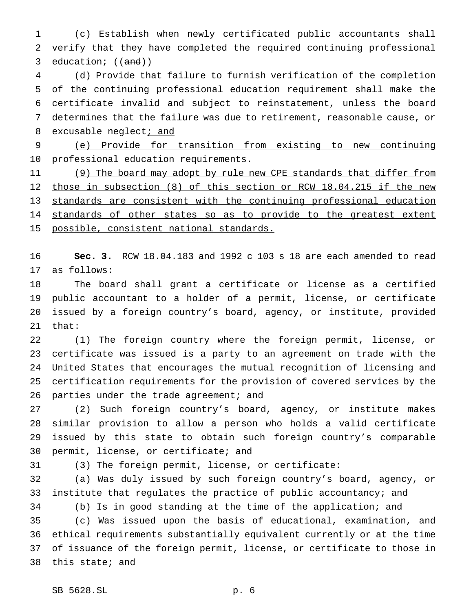(c) Establish when newly certificated public accountants shall verify that they have completed the required continuing professional 3 education;  $((and))$ 

 (d) Provide that failure to furnish verification of the completion of the continuing professional education requirement shall make the certificate invalid and subject to reinstatement, unless the board determines that the failure was due to retirement, reasonable cause, or 8 excusable neglect; and

 (e) Provide for transition from existing to new continuing 10 professional education requirements.

11 (9) The board may adopt by rule new CPE standards that differ from 12 those in subsection (8) of this section or RCW 18.04.215 if the new standards are consistent with the continuing professional education 14 standards of other states so as to provide to the greatest extent 15 possible, consistent national standards.

 **Sec. 3.** RCW 18.04.183 and 1992 c 103 s 18 are each amended to read as follows:

 The board shall grant a certificate or license as a certified public accountant to a holder of a permit, license, or certificate issued by a foreign country's board, agency, or institute, provided that:

 (1) The foreign country where the foreign permit, license, or certificate was issued is a party to an agreement on trade with the United States that encourages the mutual recognition of licensing and certification requirements for the provision of covered services by the 26 parties under the trade agreement; and

 (2) Such foreign country's board, agency, or institute makes similar provision to allow a person who holds a valid certificate issued by this state to obtain such foreign country's comparable permit, license, or certificate; and

(3) The foreign permit, license, or certificate:

 (a) Was duly issued by such foreign country's board, agency, or 33 institute that regulates the practice of public accountancy; and

 (b) Is in good standing at the time of the application; and (c) Was issued upon the basis of educational, examination, and ethical requirements substantially equivalent currently or at the time of issuance of the foreign permit, license, or certificate to those in this state; and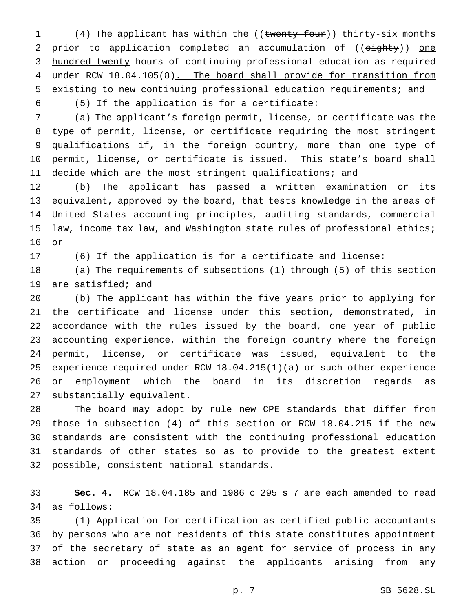1 (4) The applicant has within the ((twenty-four)) thirty-six months 2 prior to application completed an accumulation of ((eighty)) one 3 hundred twenty hours of continuing professional education as required 4 under RCW 18.04.105(8). The board shall provide for transition from existing to new continuing professional education requirements; and

(5) If the application is for a certificate:

 (a) The applicant's foreign permit, license, or certificate was the type of permit, license, or certificate requiring the most stringent qualifications if, in the foreign country, more than one type of permit, license, or certificate is issued. This state's board shall decide which are the most stringent qualifications; and

 (b) The applicant has passed a written examination or its equivalent, approved by the board, that tests knowledge in the areas of United States accounting principles, auditing standards, commercial 15 law, income tax law, and Washington state rules of professional ethics; or

(6) If the application is for a certificate and license:

 (a) The requirements of subsections (1) through (5) of this section are satisfied; and

 (b) The applicant has within the five years prior to applying for the certificate and license under this section, demonstrated, in accordance with the rules issued by the board, one year of public accounting experience, within the foreign country where the foreign permit, license, or certificate was issued, equivalent to the experience required under RCW 18.04.215(1)(a) or such other experience or employment which the board in its discretion regards as substantially equivalent.

28 The board may adopt by rule new CPE standards that differ from those in subsection (4) of this section or RCW 18.04.215 if the new standards are consistent with the continuing professional education 31 standards of other states so as to provide to the greatest extent possible, consistent national standards.

 **Sec. 4.** RCW 18.04.185 and 1986 c 295 s 7 are each amended to read as follows:

 (1) Application for certification as certified public accountants by persons who are not residents of this state constitutes appointment of the secretary of state as an agent for service of process in any action or proceeding against the applicants arising from any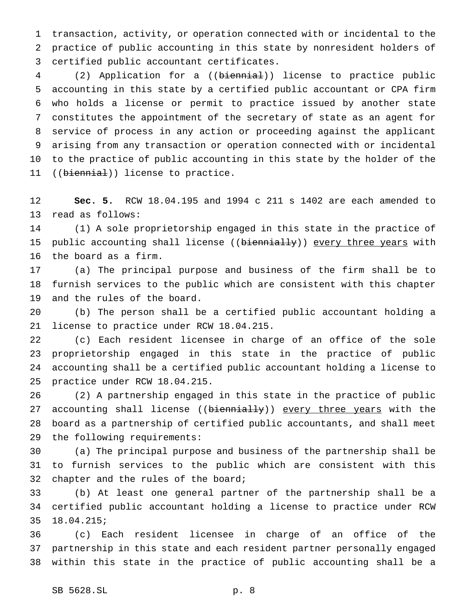transaction, activity, or operation connected with or incidental to the practice of public accounting in this state by nonresident holders of certified public accountant certificates.

4 (2) Application for a ((biennial)) license to practice public accounting in this state by a certified public accountant or CPA firm who holds a license or permit to practice issued by another state constitutes the appointment of the secretary of state as an agent for service of process in any action or proceeding against the applicant arising from any transaction or operation connected with or incidental to the practice of public accounting in this state by the holder of the 11 ((biennial)) license to practice.

 **Sec. 5.** RCW 18.04.195 and 1994 c 211 s 1402 are each amended to read as follows:

 (1) A sole proprietorship engaged in this state in the practice of 15 public accounting shall license ((biennially)) every three years with the board as a firm.

 (a) The principal purpose and business of the firm shall be to furnish services to the public which are consistent with this chapter and the rules of the board.

 (b) The person shall be a certified public accountant holding a license to practice under RCW 18.04.215.

 (c) Each resident licensee in charge of an office of the sole proprietorship engaged in this state in the practice of public accounting shall be a certified public accountant holding a license to practice under RCW 18.04.215.

 (2) A partnership engaged in this state in the practice of public 27 accounting shall license ((biennially)) every three years with the board as a partnership of certified public accountants, and shall meet the following requirements:

 (a) The principal purpose and business of the partnership shall be to furnish services to the public which are consistent with this chapter and the rules of the board;

 (b) At least one general partner of the partnership shall be a certified public accountant holding a license to practice under RCW 18.04.215;

 (c) Each resident licensee in charge of an office of the partnership in this state and each resident partner personally engaged within this state in the practice of public accounting shall be a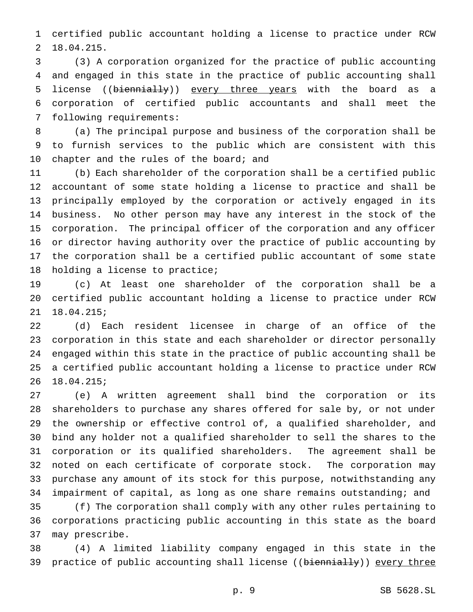certified public accountant holding a license to practice under RCW 18.04.215.

 (3) A corporation organized for the practice of public accounting and engaged in this state in the practice of public accounting shall 5 license ((biennially)) every three years with the board as a corporation of certified public accountants and shall meet the following requirements:

 (a) The principal purpose and business of the corporation shall be to furnish services to the public which are consistent with this 10 chapter and the rules of the board; and

 (b) Each shareholder of the corporation shall be a certified public accountant of some state holding a license to practice and shall be principally employed by the corporation or actively engaged in its business. No other person may have any interest in the stock of the corporation. The principal officer of the corporation and any officer or director having authority over the practice of public accounting by the corporation shall be a certified public accountant of some state holding a license to practice;

 (c) At least one shareholder of the corporation shall be a certified public accountant holding a license to practice under RCW 18.04.215;

 (d) Each resident licensee in charge of an office of the corporation in this state and each shareholder or director personally engaged within this state in the practice of public accounting shall be a certified public accountant holding a license to practice under RCW 18.04.215;

 (e) A written agreement shall bind the corporation or its shareholders to purchase any shares offered for sale by, or not under the ownership or effective control of, a qualified shareholder, and bind any holder not a qualified shareholder to sell the shares to the corporation or its qualified shareholders. The agreement shall be noted on each certificate of corporate stock. The corporation may purchase any amount of its stock for this purpose, notwithstanding any impairment of capital, as long as one share remains outstanding; and (f) The corporation shall comply with any other rules pertaining to corporations practicing public accounting in this state as the board may prescribe.

 (4) A limited liability company engaged in this state in the 39 practice of public accounting shall license ((biennially)) every three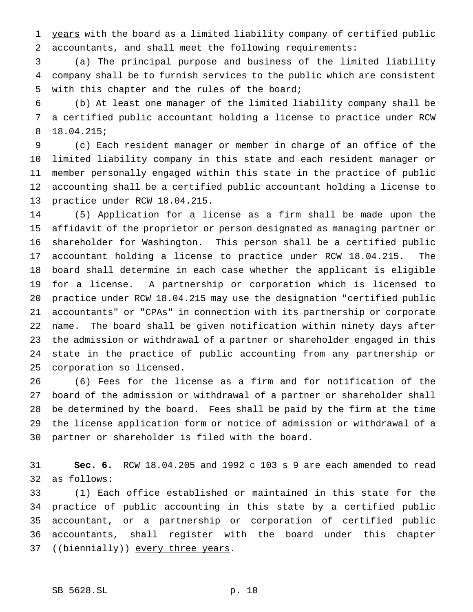years with the board as a limited liability company of certified public accountants, and shall meet the following requirements:

 (a) The principal purpose and business of the limited liability company shall be to furnish services to the public which are consistent with this chapter and the rules of the board;

 (b) At least one manager of the limited liability company shall be a certified public accountant holding a license to practice under RCW 18.04.215;

 (c) Each resident manager or member in charge of an office of the limited liability company in this state and each resident manager or member personally engaged within this state in the practice of public accounting shall be a certified public accountant holding a license to practice under RCW 18.04.215.

 (5) Application for a license as a firm shall be made upon the affidavit of the proprietor or person designated as managing partner or shareholder for Washington. This person shall be a certified public accountant holding a license to practice under RCW 18.04.215. The board shall determine in each case whether the applicant is eligible for a license. A partnership or corporation which is licensed to practice under RCW 18.04.215 may use the designation "certified public accountants" or "CPAs" in connection with its partnership or corporate name. The board shall be given notification within ninety days after the admission or withdrawal of a partner or shareholder engaged in this state in the practice of public accounting from any partnership or corporation so licensed.

 (6) Fees for the license as a firm and for notification of the board of the admission or withdrawal of a partner or shareholder shall be determined by the board. Fees shall be paid by the firm at the time the license application form or notice of admission or withdrawal of a partner or shareholder is filed with the board.

 **Sec. 6.** RCW 18.04.205 and 1992 c 103 s 9 are each amended to read as follows:

 (1) Each office established or maintained in this state for the practice of public accounting in this state by a certified public accountant, or a partnership or corporation of certified public accountants, shall register with the board under this chapter 37 ((biennially)) every three years.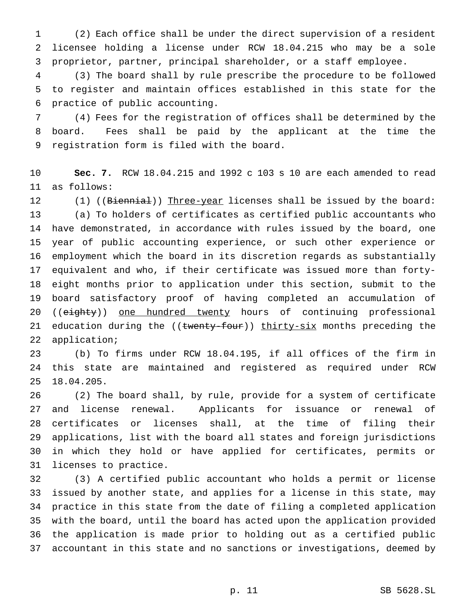(2) Each office shall be under the direct supervision of a resident licensee holding a license under RCW 18.04.215 who may be a sole proprietor, partner, principal shareholder, or a staff employee.

 (3) The board shall by rule prescribe the procedure to be followed to register and maintain offices established in this state for the practice of public accounting.

 (4) Fees for the registration of offices shall be determined by the board. Fees shall be paid by the applicant at the time the registration form is filed with the board.

 **Sec. 7.** RCW 18.04.215 and 1992 c 103 s 10 are each amended to read as follows:

12 (1) ((Biennial)) Three-year licenses shall be issued by the board: (a) To holders of certificates as certified public accountants who have demonstrated, in accordance with rules issued by the board, one year of public accounting experience, or such other experience or employment which the board in its discretion regards as substantially equivalent and who, if their certificate was issued more than forty- eight months prior to application under this section, submit to the board satisfactory proof of having completed an accumulation of 20 ((eighty)) one hundred twenty hours of continuing professional 21 education during the ((twenty-four)) thirty-six months preceding the application;

 (b) To firms under RCW 18.04.195, if all offices of the firm in this state are maintained and registered as required under RCW 18.04.205.

 (2) The board shall, by rule, provide for a system of certificate and license renewal. Applicants for issuance or renewal of certificates or licenses shall, at the time of filing their applications, list with the board all states and foreign jurisdictions in which they hold or have applied for certificates, permits or licenses to practice.

 (3) A certified public accountant who holds a permit or license issued by another state, and applies for a license in this state, may practice in this state from the date of filing a completed application with the board, until the board has acted upon the application provided the application is made prior to holding out as a certified public accountant in this state and no sanctions or investigations, deemed by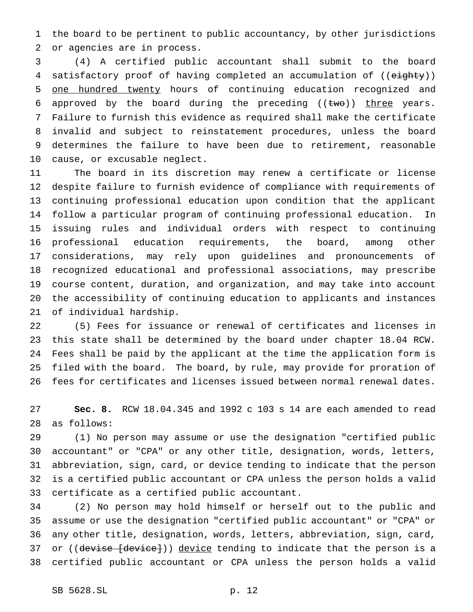the board to be pertinent to public accountancy, by other jurisdictions or agencies are in process.

 (4) A certified public accountant shall submit to the board 4 satisfactory proof of having completed an accumulation of ((eighty)) 5 one hundred twenty hours of continuing education recognized and 6 approved by the board during the preceding  $((two))$  three years. Failure to furnish this evidence as required shall make the certificate invalid and subject to reinstatement procedures, unless the board determines the failure to have been due to retirement, reasonable cause, or excusable neglect.

 The board in its discretion may renew a certificate or license despite failure to furnish evidence of compliance with requirements of continuing professional education upon condition that the applicant follow a particular program of continuing professional education. In issuing rules and individual orders with respect to continuing professional education requirements, the board, among other considerations, may rely upon guidelines and pronouncements of recognized educational and professional associations, may prescribe course content, duration, and organization, and may take into account the accessibility of continuing education to applicants and instances of individual hardship.

 (5) Fees for issuance or renewal of certificates and licenses in this state shall be determined by the board under chapter 18.04 RCW. Fees shall be paid by the applicant at the time the application form is filed with the board. The board, by rule, may provide for proration of fees for certificates and licenses issued between normal renewal dates.

 **Sec. 8.** RCW 18.04.345 and 1992 c 103 s 14 are each amended to read as follows:

 (1) No person may assume or use the designation "certified public accountant" or "CPA" or any other title, designation, words, letters, abbreviation, sign, card, or device tending to indicate that the person is a certified public accountant or CPA unless the person holds a valid certificate as a certified public accountant.

 (2) No person may hold himself or herself out to the public and assume or use the designation "certified public accountant" or "CPA" or any other title, designation, words, letters, abbreviation, sign, card, 37 or ((devise [device])) device tending to indicate that the person is a certified public accountant or CPA unless the person holds a valid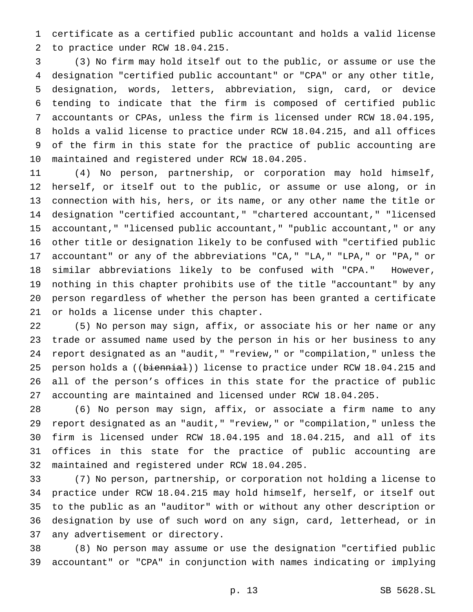certificate as a certified public accountant and holds a valid license to practice under RCW 18.04.215.

 (3) No firm may hold itself out to the public, or assume or use the designation "certified public accountant" or "CPA" or any other title, designation, words, letters, abbreviation, sign, card, or device tending to indicate that the firm is composed of certified public accountants or CPAs, unless the firm is licensed under RCW 18.04.195, holds a valid license to practice under RCW 18.04.215, and all offices of the firm in this state for the practice of public accounting are maintained and registered under RCW 18.04.205.

 (4) No person, partnership, or corporation may hold himself, herself, or itself out to the public, or assume or use along, or in connection with his, hers, or its name, or any other name the title or designation "certified accountant," "chartered accountant," "licensed accountant," "licensed public accountant," "public accountant," or any other title or designation likely to be confused with "certified public accountant" or any of the abbreviations "CA," "LA," "LPA," or "PA," or similar abbreviations likely to be confused with "CPA." However, nothing in this chapter prohibits use of the title "accountant" by any person regardless of whether the person has been granted a certificate or holds a license under this chapter.

 (5) No person may sign, affix, or associate his or her name or any trade or assumed name used by the person in his or her business to any report designated as an "audit," "review," or "compilation," unless the 25 person holds a ((biennial)) license to practice under RCW 18.04.215 and all of the person's offices in this state for the practice of public accounting are maintained and licensed under RCW 18.04.205.

 (6) No person may sign, affix, or associate a firm name to any report designated as an "audit," "review," or "compilation," unless the firm is licensed under RCW 18.04.195 and 18.04.215, and all of its offices in this state for the practice of public accounting are maintained and registered under RCW 18.04.205.

 (7) No person, partnership, or corporation not holding a license to practice under RCW 18.04.215 may hold himself, herself, or itself out to the public as an "auditor" with or without any other description or designation by use of such word on any sign, card, letterhead, or in any advertisement or directory.

 (8) No person may assume or use the designation "certified public accountant" or "CPA" in conjunction with names indicating or implying